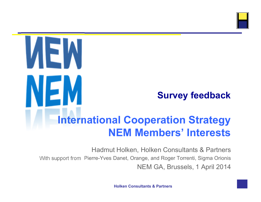

# EN **Survey feedback International Cooperation Strategy NEM Members' Interests**

Hadmut Holken, Holken Consultants & Partners With support from Pierre-Yves Danet, Orange, and Roger Torrenti, Sigma Orionis NEM GA, Brussels, 1 April 2014

**Holken Consultants & Partners**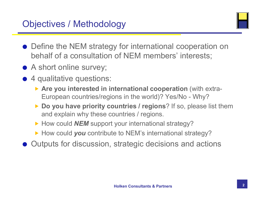#### Objectives / Methodology



- Define the NEM strategy for international cooperation on behalf of a consultation of NEM members' interests;
- A short online survey;
- **4** qualitative questions:
	- **Are you interested in international cooperation** (with extra-European countries/regions in the world)? Yes/No - Why?
	- ▶ Do you have priority countries / regions? If so, please list them and explain why these countries / regions.
	- ▶ How could **NEM** support your international strategy?
	- ▶ How could you contribute to NEM's international strategy?
- **Outputs for discussion, strategic decisions and actions**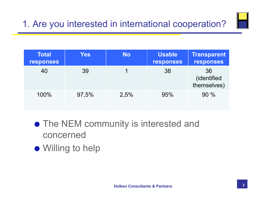### 1. Are you interested in international cooperation?

| <b>Total</b><br>responses | <b>Yes</b> | <b>No</b> | <b>Usable</b><br>responses | <b>Transparent</b><br>responses  |
|---------------------------|------------|-----------|----------------------------|----------------------------------|
| 40                        | 39         |           | 38                         | 36<br>(identified<br>themselves) |
| 100%                      | 97,5%      | 2,5%      | 95%                        | 90%                              |

- **The NEM community is interested and** concerned
- Willing to help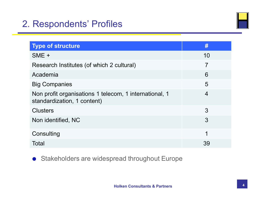#### 2. Respondents' Profiles

| <b>Type of structure</b>                                                              | #  |
|---------------------------------------------------------------------------------------|----|
| SME +                                                                                 | 10 |
| Research Institutes (of which 2 cultural)                                             | 7  |
| Academia                                                                              | 6  |
| <b>Big Companies</b>                                                                  | 5  |
| Non profit organisations 1 telecom, 1 international, 1<br>standardization, 1 content) | 4  |
| <b>Clusters</b>                                                                       | 3  |
| Non identified, NC                                                                    | 3  |
| Consulting                                                                            | 1  |
| Total                                                                                 | 39 |

**• Stakeholders are widespread throughout Europe**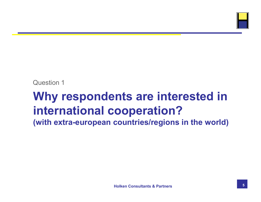

#### Question 1

### **Why respondents are interested in international cooperation?**

**(with extra-european countries/regions in the world)**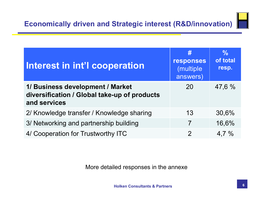

| Interest in int'l cooperation                                                                    | #<br>responses<br>(multiple<br>answers) | $\frac{0}{0}$<br>of total<br>resp. |
|--------------------------------------------------------------------------------------------------|-----------------------------------------|------------------------------------|
| 1/ Business development / Market<br>diversification / Global take-up of products<br>and services | 20                                      | 47,6 %                             |
| 2/ Knowledge transfer / Knowledge sharing                                                        | 13                                      | 30,6%                              |
| 3/ Networking and partnership building                                                           |                                         | 16,6%                              |
| 4/ Cooperation for Trustworthy ITC                                                               | $\overline{2}$                          | 4,7%                               |

More detailed responses in the annexe

**Holken Consultants & Partners**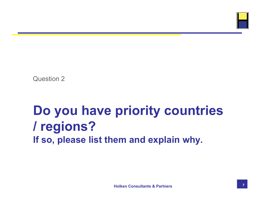

Question 2

### **Do you have priority countries / regions? If so, please list them and explain why.**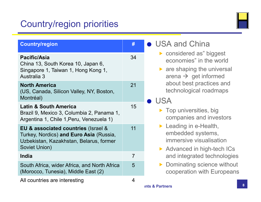### Country/region priorities



| <b>Country/region</b>                                                                                                                                     | #  |
|-----------------------------------------------------------------------------------------------------------------------------------------------------------|----|
| <b>Pacific/Asia</b><br>China 13, South Korea 10, Japan 6,<br>Singapore 1, Taiwan 1, Hong Kong 1,<br>Australia 3                                           | 34 |
| <b>North America</b><br>(US, Canada, Silicon Valley, NY, Boston,<br>Montréal)                                                                             | 21 |
| <b>Latin &amp; South America</b><br>Brazil 9, Mexico 3, Columbia 2, Panama 1,<br>Argentina 1, Chile 1, Peru, Venezuela 1)                                 | 15 |
| <b>EU &amp; associated countries (Israel &amp;</b><br>Turkey, Nordics) and Euro Asia (Russia,<br>Uzbekistan, Kazakhstan, Belarus, former<br>Soviet Union) | 11 |
| <b>India</b>                                                                                                                                              | 7  |
| South Africa, wider Africa, and North Africa<br>(Morocco, Tunesia), Middle East (2)                                                                       | 5  |
| All countries are interesting                                                                                                                             | 4  |

#### **USA and China**

- **Considered as" biggest** economies" in the world
- $\triangleright$  are shaping the universal arena  $\rightarrow$  get informed about best practices and technological roadmaps

#### USA

- $\blacktriangleright$  Top universities, big companies and investors
- ▶ Leading in e-Health, embedded systems, immersive visualisation
- Advanced in high-tech ICs and integrated technologies
- **Dominating science without** cooperation with Europeans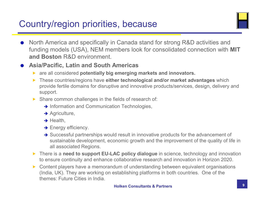#### Country/region priorities, because



 North America and specifically in Canada stand for strong R&D activities and funding models (USA), NEM members look for consolidated connection with **MIT and Boston** R&D environment.

#### **Asia/Pacific, Latin and South Americas**

- are all considered **potentially big emerging markets and innovators.**
- These countries/regions have **either technological and/or market advantages** which provide fertile domains for disruptive and innovative products/services, design, delivery and support.
- $\triangleright$  Share common challenges in the fields of research of:
	- → Information and Communication Technologies,
	- $\rightarrow$  Agriculture,
	- $\rightarrow$  Health.
	- **→ Energy efficiency.**
	- → Successful partnerships would result in innovative products for the advancement of sustainable development, economic growth and the improvement of the quality of life in all associated Regions.
- ▶ There is a **need to support EU-LAC policy dialogue** in science, technology and innovation to ensure continuity and enhance collaborative research and innovation in Horizon 2020.
- ▶ Content players have a memorandum of understanding between equivalent organisations (India, UK). They are working on establishing platforms in both countries. One of the themes: Future Cities in India.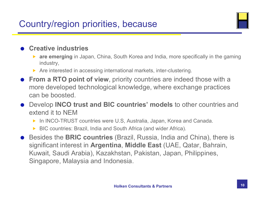#### Country/region priorities, because

#### **Creative industries**

- **are emerging** in Japan, China, South Korea and India, more specifically in the gaming industry,
- Are interested in accessing international markets, inter-clustering.
- **From a RTO point of view**, priority countries are indeed those with a more developed technological knowledge, where exchange practices can be boosted.
- Develop **INCO trust and BIC countries' models** to other countries and extend it to NEM
	- ▶ In INCO-TRUST countries were U.S. Australia, Japan, Korea and Canada.
	- ▶ BIC countries: Brazil, India and South Africa (and wider Africa).
- Besides the **BRIC countries** (Brazil, Russia, India and China), there is significant interest in **Argentina**, **Middle East** (UAE, Qatar, Bahrain, Kuwait, Saudi Arabia), Kazakhstan, Pakistan, Japan, Philippines, Singapore, Malaysia and Indonesia.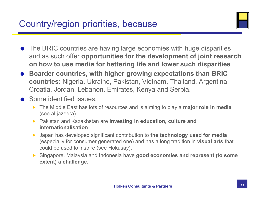

- The BRIC countries are having large economies with huge disparities and as such offer **opportunities for the development of joint research on how to use media for bettering life and lower such disparities**.
- **Boarder countries, with higher growing expectations than BRIC countries**: Nigeria, Ukraine, Pakistan, Vietnam, Thailand, Argentina, Croatia, Jordan, Lebanon, Emirates, Kenya and Serbia.
- **•** Some identified issues:
	- The Middle East has lots of resources and is aiming to play a **major role in media** (see al jazeera).
	- ▶ Pakistan and Kazakhstan are **investing in education, culture and internationalisation**.
	- Japan has developed significant contribution to **the technology used for media** (especially for consumer generated one) and has a long tradition in **visual arts** that could be used to inspire (see Hokusay).
	- Singapore, Malaysia and Indonesia have **good economies and represent (to some extent) a challenge**.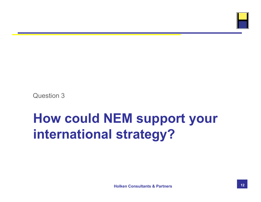

Question 3

### **How could NEM support your international strategy?**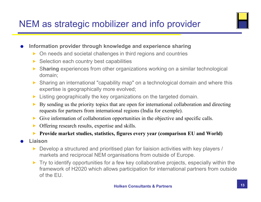#### NEM as strategic mobilizer and info provider



**Information provider through knowledge and experience sharing** 

- ▶ On needs and societal challenges in third regions and countries
- $\triangleright$  Selection each country best capabilities
- S**haring** experiences from other organizations working on a similar technological domain;
- Sharing an international "capability map" on a technological domain and where this expertise is geographically more evolved;
- **Example 2** Listing geographically the key organizations on the targeted domain.
- $\triangleright$  By sending us the priority topics that are open for international collaboration and directing requests for partners from international regions (India for exemple).
- Give information of collaboration opportunities in the objective and specific calls.
- Offering research results, expertise and skills.
- **Provide market studies, statistics, figures every year (comparison EU and World)**
- **Liaison**
	- Develop a structured and prioritised plan for liaision activities with key players / markets and reciprocal NEM organisations from outside of Europe.
	- $\triangleright$  Try to identify opportunities for a few key collaborative projects, especially within the framework of H2020 which allows participation for international partners from outside of the EU.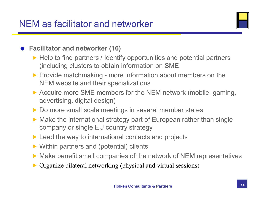#### NEM as facilitator and networker



#### **Facilitator and networker (16)**

- ▶ Help to find partners / Identify opportunities and potential partners (including clusters to obtain information on SME
- $\triangleright$  Provide matchmaking more information about members on the NEM website and their specializations
- ▶ Acquire more SME members for the NEM network (mobile, gaming, advertising, digital design)
- ▶ Do more small scale meetings in several member states
- ▶ Make the international strategy part of European rather than single company or single EU country strategy
- ▶ Lead the way to international contacts and projects
- ▶ Within partners and (potential) clients
- ▶ Make benefit small companies of the network of NEM representatives
- Organize bilateral networking (physical and virtual sessions)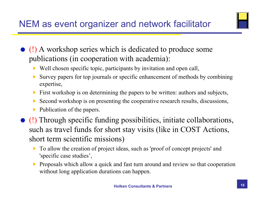### NEM as event organizer and network facilitator



- (!) A workshop series which is dedicated to produce some publications (in cooperation with academia):
	- $\triangleright$  Well chosen specific topic, participants by invitation and open call,
	- Survey papers for top journals or specific enhancement of methods by combining expertise,
	- First workshop is on determining the papers to be written: authors and subjects,
	- Second workshop is on presenting the cooperative research results, discussions,
	- $\blacktriangleright$  Publication of the papers.
- (!) Through specific funding possibilities, initiate collaborations, such as travel funds for short stay visits (like in COST Actions, short term scientific missions)
	- $\triangleright$  To allow the creation of project ideas, such as 'proof of concept projects' and 'specific case studies',
	- Proposals which allow a quick and fast turn around and review so that cooperation without long application durations can happen.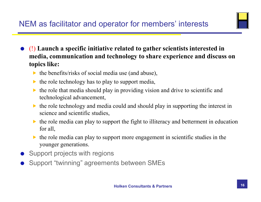

- (!) **Launch a specific initiative related to gather scientists interested in media, communication and technology to share experience and discuss on topics like:**
	- $\triangleright$  the benefits/risks of social media use (and abuse),
	- $\triangleright$  the role technology has to play to support media,
	- $\triangleright$  the role that media should play in providing vision and drive to scientific and technological advancement,
	- $\blacktriangleright$  the role technology and media could and should play in supporting the interest in science and scientific studies,
	- $\triangleright$  the role media can play to support the fight to illiteracy and betterment in education for all,
	- $\triangleright$  the role media can play to support more engagement in scientific studies in the younger generations.
- Support projects with regions
- Support "twinning" agreements between SMEs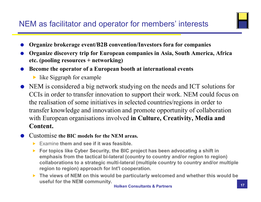#### NEM as facilitator and operator for members' interests



- **Organize brokerage event/B2B convention/Investors fora for companies**
- **Organize discovery trip for European companies in Asia, South America, Africa etc. (pooling resources + networking)**
- **Become the operator of a European booth at international events** 
	- like Siggraph for example
- NEM is considered a big network studying on the needs and ICT solutions for CCIs in order to transfer innovation to support their work. NEM could focus on the realisation of some initiatives in selected countries/regions in order to transfer knowledge and innovation and promote opportunity of collaboration with European organisations involved **in Culture, Creativity, Media and Content.**

#### Customise **the BIC models for the NEM areas.**

- Examine **them and see if it was feasible.**
- ▶ For topics like Cyber Security, the BIC project has been advocating a shift in **emphasis from the tactical bi-lateral (country to country and/or region to region) collaborations to a strategic multi-lateral (multiple country to country and/or multiple region to region) approach for Int'l cooperation.**
- ▶ The views of NEM on this would be particularly welcomed and whether this would be **useful for the NEM community.**

**Holken Consultants & Partners**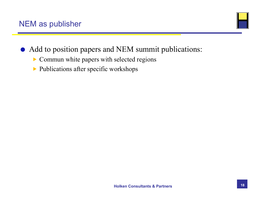

- Add to position papers and NEM summit publications:
	- Commun white papers with selected regions
	- Publications after specific workshops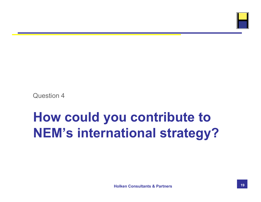

Question 4

## **How could you contribute to NEM's international strategy?**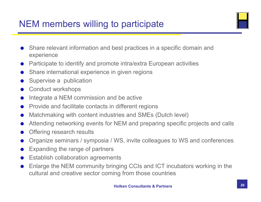#### NEM members willing to participate



- Share relevant information and best practices in a specific domain and experience
- Participate to identify and promote intra/extra European activities
- Share international experience in given regions
- Supervise a publication
- Conduct workshops
- Integrate a NEM commission and be active
- Provide and facilitate contacts in different regions
- Matchmaking with content industries and SMEs (Dutch level)
- Attending networking events for NEM and preparing specific projects and calls
- Offering research results
- Organize seminars / symposia / WS, invite colleagues to WS and conferences
- Expanding the range of partners
- Establish collaboration agreements
- Enlarge the NEM community bringing CCIs and ICT incubators working in the cultural and creative sector coming from those countries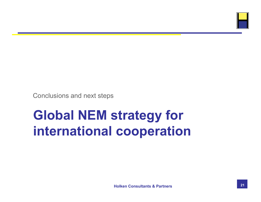

Conclusions and next steps

### **Global NEM strategy for international cooperation**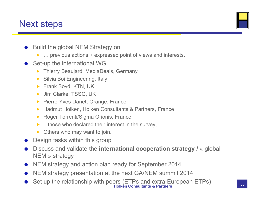#### Next steps



- Build the global NEM Strategy on
	- ▶ ... previous actions + expressed point of views and interests.
- Set-up the international WG
	- ▶ Thierry Beaujard, MediaDeals, Germany
	- ▶ Silvia Boi Engineering, Italy
	- Frank Boyd, KTN, UK
	- ▶ Jim Clarke, TSSG, UK
	- **Pierre-Yves Danet, Orange, France**
	- ▶ Hadmut Holken, Holken Consultants & Partners, France
	- ▶ Roger Torrenti/Sigma Orionis, France
	- $\blacktriangleright$  ... those who declared their interest in the survey,
	- $\triangleright$  Others who may want to join.
- Design tasks within this group
- Discuss and validate the **international cooperation strategy /** « global NEM » strategy
- NEM strategy and action plan ready for September 2014
- NEM strategy presentation at the next GA/NEM summit 2014
- **Holken Consultants & Partners** Set up the relationship with peers (ETPs and extra-European ETPs)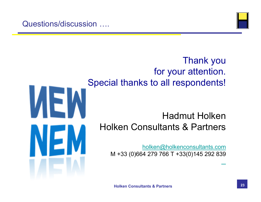**VEI** 



Thank you for your attention. Special thanks to all respondents!

#### Hadmut Holken Holken Consultants & Partners

holken@holkenconsultants.com M +33 (0)664 279 766 T +33(0)145 292 839

**Holken Consultants & Partners 23**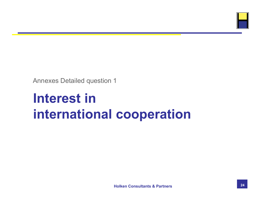

Annexes Detailed question 1

## **Interest in international cooperation**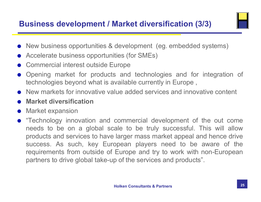#### **Business development / Market diversification (3/3)**



- New business opportunities & development (eg. embedded systems)
- Accelerate business opportunities (for SMEs)
- Commercial interest outside Europe
- Opening market for products and technologies and for integration of technologies beyond what is available currently in Europe ,
- New markets for innovative value added services and innovative content
- **Market diversification**
- Market expansion
- "Technology innovation and commercial development of the out come needs to be on a global scale to be truly successful. This will allow products and services to have larger mass market appeal and hence drive success. As such, key European players need to be aware of the requirements from outside of Europe and try to work with non-European partners to drive global take-up of the services and products".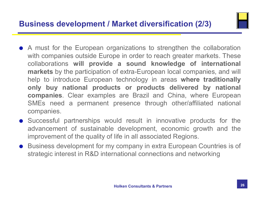#### **Business development / Market diversification (2/3)**



- A must for the European organizations to strengthen the collaboration with companies outside Europe in order to reach greater markets. These collaborations **will provide a sound knowledge of international markets** by the participation of extra-European local companies, and will help to introduce European technology in areas **where traditionally only buy national products or products delivered by national companies**. Clear examples are Brazil and China, where European SMEs need a permanent presence through other/affiliated national companies.
- Successful partnerships would result in innovative products for the advancement of sustainable development, economic growth and the improvement of the quality of life in all associated Regions.
- Business development for my company in extra European Countries is of strategic interest in R&D international connections and networking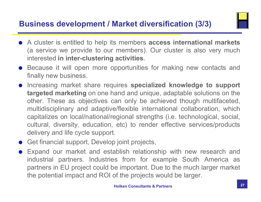#### **Business development / Market diversification (3/3)**



- A cluster is entitled to help its members **access international markets** (a service we provide to our members). Our cluster is also very much interested **in inter-clustering activities**.
- Because it will open more opportunities for making new contacts and finally new business.
- Increasing market share requires **specialized knowledge to support targeted marketing** on one hand and unique, adaptable solutions on the other. These as objectives can only be achieved though multifaceted, multidisciplinary and adaptive/flexible international collaboration, which capitalizes on local/national/regional strengths (i.e. technological, social, cultural, diversity, education, etc) to render effective services/products delivery and life cycle support.
- Get financial support, Develop joint projects,
- Expand our market and establish relationship with new research and industrial partners. Industries from for example South America as partners in EU project could be important. Due to the much larger market the potential impact and ROI of the projects would be larger.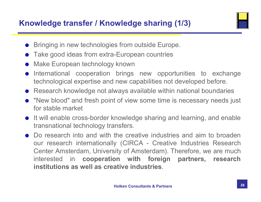

- Bringing in new technologies from outside Europe.
- Take good ideas from extra-European countries
- Make European technology known
- International cooperation brings new opportunities to exchange technological expertise and new capabilities not developed before.
- Research knowledge not always available within national boundaries
- "New blood" and fresh point of view some time is necessary needs just for stable market
- **It will enable cross-border knowledge sharing and learning, and enable** transnational technology transfers.
- Do research into and with the creative industries and aim to broaden our research internationally (CIRCA - Creative Industries Research Center Amsterdam, University of Amsterdam). Therefore, we are much interested in **cooperation with foreign partners, research institutions as well as creative industries**.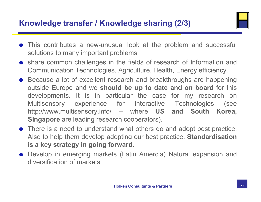#### **Knowledge transfer / Knowledge sharing (2/3)**



- This contributes a new-unusual look at the problem and successful solutions to many important problems
- share common challenges in the fields of research of Information and Communication Technologies, Agriculture, Health, Energy efficiency.
- Because a lot of excellent research and breakthroughs are happening outside Europe and we **should be up to date and on board** for this developments. It is in particular the case for my research on Multisensory experience for Interactive Technologies (see http://www.multisensory.info/ -- where **US and South Korea, Singapore** are leading research cooperators).
- There is a need to understand what others do and adopt best practice. Also to help them develop adopting our best practice. **Standardisation is a key strategy in going forward**.
- Develop in emerging markets (Latin Amercia) Natural expansion and diversification of markets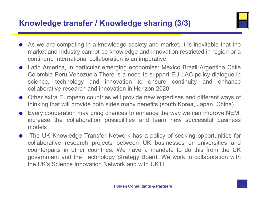#### **Knowledge transfer / Knowledge sharing (3/3)**



- As we are competing in a knowledge society and market, it is inevitable that the market and industry cannot be knowledge and innovation restricted in region or a continent. International collaboration is an imperative.
- Latin America, in particular emerging economies: Mexico Brazil Argentina Chile Colombia Peru Venezuela There is a need to support EU-LAC policy dialogue in science, technology and innovation to ensure continuity and enhance collaborative research and innovation in Horizon 2020.
- Other extra European countries will provide new expertises and different ways of thinking that will provide both sides many benefits (south Korea, Japan, China).
- Every cooperation may bring chances to enhance the way we can improve NEM, increase the collaboration possibilities and learn new successful business models
- The UK Knowledge Transfer Network has a policy of seeking opportunities for collaborative research projects between UK businesses or universities and counterparts in other countries. We have a mandate to do this from the UK government and the Technology Strategy Board. We work in collaboration with the UK's Science Innovation Network and with UKTI.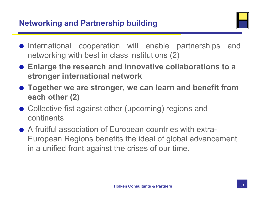#### **Networking and Partnership building**



- **•** International cooperation will enable partnerships and networking with best in class institutions (2)
- **Enlarge the research and innovative collaborations to a stronger international network**
- **Together we are stronger, we can learn and benefit from each other (2)**
- Collective fist against other (upcoming) regions and continents
- A fruitful association of European countries with extra-European Regions benefits the ideal of global advancement in a unified front against the crises of our time.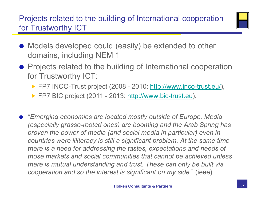#### Projects related to the building of International cooperation for Trustworthy ICT



- Models developed could (easily) be extended to other domains, including NEM 1
- **•** Projects related to the building of International cooperation for Trustworthy ICT:
	- ► FP7 INCO-Trust project (2008 2010: http://www.inco-trust.eu/),
	- ► FP7 BIC project (2011 2013: http://www.bic-trust.eu).
- "*Emerging economies are located mostly outside of Europe. Media (especially grasso-rooted ones) are booming and the Arab Spring has proven the power of media (and social media in particular) even in countries were illiteracy is still a significant problem. At the same time there is a need for addressing the tastes, expectations and needs of those markets and social communities that cannot be achieved unless there is mutual understanding and trust. These can only be built via cooperation and so the interest is significant on my side*." (ieee)